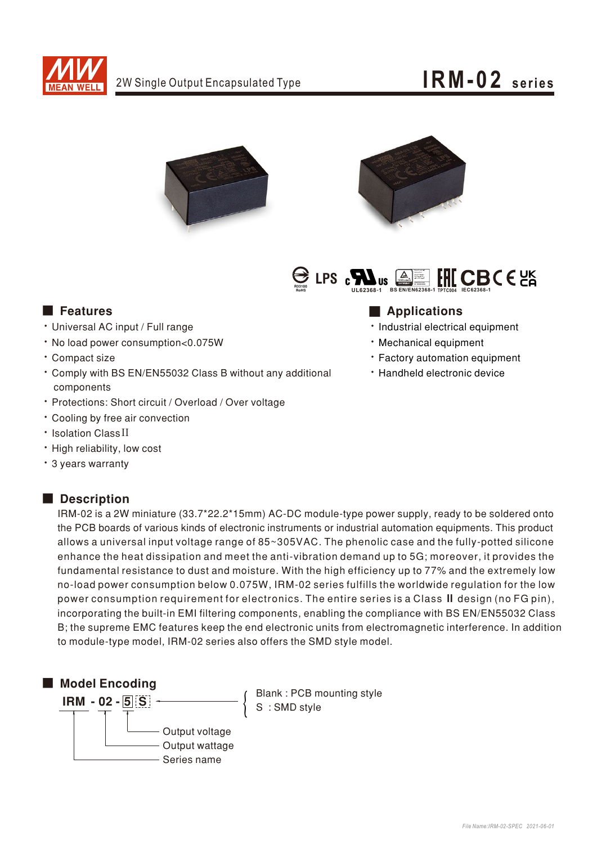

### IRM-02 series







### **Execution** Features

- · Universal AC input / Full range
- · No load power consumption<0.075W
- · Compact size
- \* Comply with BS EN/EN55032 Class B without any additional components
- \* Protections: Short circuit / Overload / Over voltage
- Cooling by free air convection
- · Isolation Class II
- · High reliability, low cost
- \* 3 years warranty

### Description

- **Applications**
- · Industrial electrical equipment
- · Mechanical equipment
- \* Factory automation equipment
- · Handheld electronic device

IRM-02 is a 2W miniature (33.7\*22.2\*15mm) AC-DC module-type power supply, ready to be soldered onto the PCB boards of various kinds of electronic instruments or industrial automation equipments. This product allows a universal input voltage range of 85~305VAC. The phenolic case and the fully-potted silicone enhance the heat dissipation and meet the anti-vibration demand up to 5G; moreover, it provides the fundamental resistance to dust and moisture. With the high efficiency up to 77% and the extremely low no-load power consumption below 0.075W, IRM-02 series fulfills the worldwide regulation for the low power consumption requirement for electronics. The entire series is a Class II design (no FG pin), incorporating the built-in EMI filtering components, enabling the compliance with BS EN/EN55032 Class B; the supreme EMC features keep the end electronic units from electromagnetic interference. In addition to module-type model, IRM-02 series also offers the SMD style model.



Blank: PCB mounting style S: SMD style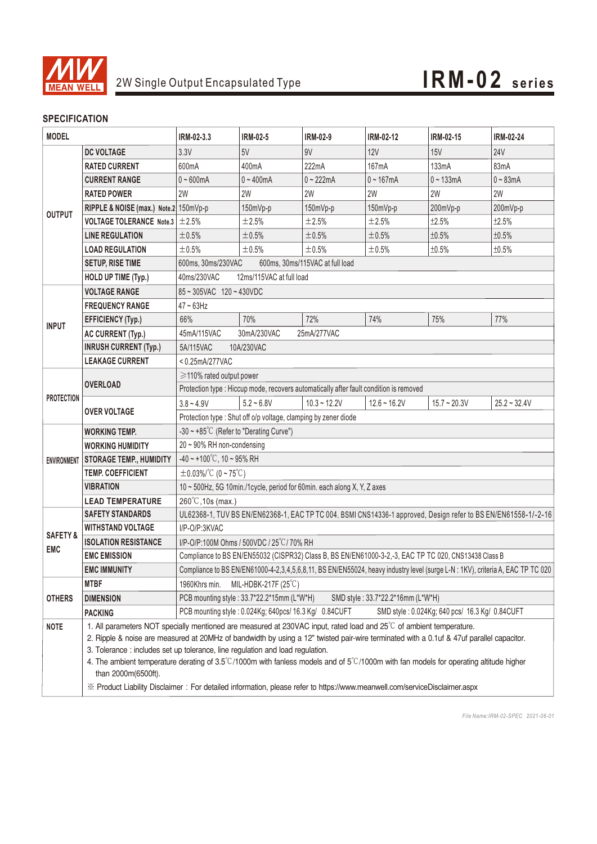

#### **SPECIFICATION**

| <b>MODEL</b>                      |                                            | IRM-02-3.3                                                                                                                                      | <b>IRM-02-5</b>                                        | IRM-02-9       | IRM-02-12      | IRM-02-15                                      | <b>IRM-02-24</b> |  |
|-----------------------------------|--------------------------------------------|-------------------------------------------------------------------------------------------------------------------------------------------------|--------------------------------------------------------|----------------|----------------|------------------------------------------------|------------------|--|
| <b>OUTPUT</b>                     | <b>DC VOLTAGE</b>                          | 3.3V                                                                                                                                            | 5V                                                     | 9V             | <b>12V</b>     | <b>15V</b>                                     | <b>24V</b>       |  |
|                                   | <b>RATED CURRENT</b>                       | 600mA                                                                                                                                           | 400mA                                                  | 222mA          | 167mA          | 133mA                                          | 83mA             |  |
|                                   | <b>CURRENT RANGE</b>                       | $0 - 600mA$                                                                                                                                     | $0 - 400$ mA                                           | $0 - 222mA$    | $0 - 167mA$    | $0 - 133mA$                                    | $0 - 83mA$       |  |
|                                   | <b>RATED POWER</b>                         | 2W                                                                                                                                              | 2W                                                     | 2W             | 2W             | 2W                                             | 2W               |  |
|                                   | RIPPLE & NOISE (max.) Note.2 150mVp-p      |                                                                                                                                                 | 150mVp-p                                               | 150mVp-p       | 150mVp-p       | 200mVp-p                                       | 200mVp-p         |  |
|                                   | <b>VOLTAGE TOLERANCE</b> Note.3 $\pm$ 2.5% |                                                                                                                                                 | $\pm 2.5\%$                                            | ±2.5%          | ±2.5%          | ±2.5%                                          | ±2.5%            |  |
|                                   | <b>LINE REGULATION</b>                     | $\pm 0.5\%$                                                                                                                                     | $\pm 0.5\%$                                            | ±0.5%          | ±0.5%          | ±0.5%                                          | ±0.5%            |  |
|                                   | <b>LOAD REGULATION</b>                     | ±0.5%                                                                                                                                           | $\pm 0.5\%$                                            | ±0.5%          | $\pm 0.5\%$    | ±0.5%                                          | ±0.5%            |  |
|                                   | <b>SETUP, RISE TIME</b>                    | 600ms, 30ms/115VAC at full load<br>600ms, 30ms/230VAC                                                                                           |                                                        |                |                |                                                |                  |  |
|                                   | <b>HOLD UP TIME (Typ.)</b>                 | 40ms/230VAC<br>12ms/115VAC at full load                                                                                                         |                                                        |                |                |                                                |                  |  |
| <b>INPUT</b>                      | <b>VOLTAGE RANGE</b>                       | 85~305VAC 120~430VDC                                                                                                                            |                                                        |                |                |                                                |                  |  |
|                                   | <b>FREQUENCY RANGE</b>                     | $47 \sim 63$ Hz                                                                                                                                 |                                                        |                |                |                                                |                  |  |
|                                   | <b>EFFICIENCY (Typ.)</b>                   | 66%                                                                                                                                             | 70%                                                    | 72%            | 74%            | 75%                                            | 77%              |  |
|                                   | <b>AC CURRENT (Typ.)</b>                   | 45mA/115VAC<br>30mA/230VAC<br>25mA/277VAC                                                                                                       |                                                        |                |                |                                                |                  |  |
|                                   | <b>INRUSH CURRENT (Typ.)</b>               | 5A/115VAC<br>10A/230VAC                                                                                                                         |                                                        |                |                |                                                |                  |  |
|                                   | <b>LEAKAGE CURRENT</b>                     | <0.25mA/277VAC                                                                                                                                  |                                                        |                |                |                                                |                  |  |
| <b>PROTECTION</b>                 | <b>OVERLOAD</b>                            | ≥110% rated output power                                                                                                                        |                                                        |                |                |                                                |                  |  |
|                                   |                                            | Protection type : Hiccup mode, recovers automatically after fault condition is removed                                                          |                                                        |                |                |                                                |                  |  |
|                                   | <b>OVER VOLTAGE</b>                        | $3.8 - 4.9V$                                                                                                                                    | $5.2 - 6.8V$                                           | $10.3 - 12.2V$ | $12.6 - 16.2V$ | $15.7 - 20.3V$                                 | $25.2 - 32.4V$   |  |
|                                   |                                            | Protection type : Shut off o/p voltage, clamping by zener diode                                                                                 |                                                        |                |                |                                                |                  |  |
| <b>ENVIRONMENT</b>                | <b>WORKING TEMP.</b>                       | -30 $\sim$ +85°C (Refer to "Derating Curve")                                                                                                    |                                                        |                |                |                                                |                  |  |
|                                   | <b>WORKING HUMIDITY</b>                    | 20~90% RH non-condensing                                                                                                                        |                                                        |                |                |                                                |                  |  |
|                                   | <b>STORAGE TEMP., HUMIDITY</b>             | $-40 \sim +100^{\circ}$ C, 10 ~ 95% RH                                                                                                          |                                                        |                |                |                                                |                  |  |
|                                   | <b>TEMP. COEFFICIENT</b>                   | $\pm$ 0.03%/°C (0 ~ 75°C)                                                                                                                       |                                                        |                |                |                                                |                  |  |
|                                   | <b>VIBRATION</b>                           | 10 ~ 500Hz, 5G 10min./1cycle, period for 60min. each along X, Y, Z axes                                                                         |                                                        |                |                |                                                |                  |  |
|                                   | <b>LEAD TEMPERATURE</b>                    | 260°C, 10s (max.)                                                                                                                               |                                                        |                |                |                                                |                  |  |
| <b>SAFETY &amp;</b><br><b>EMC</b> | <b>SAFETY STANDARDS</b>                    | UL62368-1, TUV BS EN/EN62368-1, EAC TP TC 004, BSMI CNS14336-1 approved, Design refer to BS EN/EN61558-1/-2-16                                  |                                                        |                |                |                                                |                  |  |
|                                   | <b>WITHSTAND VOLTAGE</b>                   | I/P-O/P:3KVAC                                                                                                                                   |                                                        |                |                |                                                |                  |  |
|                                   | <b>ISOLATION RESISTANCE</b>                | I/P-O/P:100M Ohms / 500VDC / 25°C/70% RH                                                                                                        |                                                        |                |                |                                                |                  |  |
|                                   | <b>EMC EMISSION</b>                        | Compliance to BS EN/EN55032 (CISPR32) Class B, BS EN/EN61000-3-2,-3, EAC TP TC 020, CNS13438 Class B                                            |                                                        |                |                |                                                |                  |  |
|                                   | <b>EMC IMMUNITY</b>                        | Compliance to BS EN/EN61000-4-2,3,4,5,6,8,11, BS EN/EN55024, heavy industry level (surge L-N : 1KV), criteria A, EAC TP TC 020                  |                                                        |                |                |                                                |                  |  |
| <b>OTHERS</b>                     | <b>MTBF</b>                                | MIL-HDBK-217F (25°C)<br>1960Khrs min.                                                                                                           |                                                        |                |                |                                                |                  |  |
|                                   | <b>DIMENSION</b>                           | PCB mounting style: 33.7*22.2*15mm (L*W*H)<br>SMD style: 33.7*22.2*16mm (L*W*H)                                                                 |                                                        |                |                |                                                |                  |  |
|                                   | <b>PACKING</b>                             |                                                                                                                                                 | PCB mounting style: 0.024Kg; 640pcs/ 16.3 Kg/ 0.84CUFT |                |                | SMD style: 0.024Kg; 640 pcs/ 16.3 Kg/ 0.84CUFT |                  |  |
| <b>NOTE</b>                       |                                            | 1. All parameters NOT specially mentioned are measured at 230VAC input, rated load and 25°C of ambient temperature.                             |                                                        |                |                |                                                |                  |  |
|                                   |                                            | 2. Ripple & noise are measured at 20MHz of bandwidth by using a 12" twisted pair-wire terminated with a 0.1uf & 47uf parallel capacitor.        |                                                        |                |                |                                                |                  |  |
|                                   |                                            | 3. Tolerance : includes set up tolerance, line regulation and load regulation.                                                                  |                                                        |                |                |                                                |                  |  |
|                                   | than 2000m(6500ft).                        | 4. The ambient temperature derating of 3.5°C/1000m with fanless models and of $5^{\circ}$ C/1000m with fan models for operating altitude higher |                                                        |                |                |                                                |                  |  |
|                                   |                                            | ※ Product Liability Disclaimer: For detailed information, please refer to https://www.meanwell.com/serviceDisclaimer.aspx                       |                                                        |                |                |                                                |                  |  |

*File Name:IRM-02-SPEC 2021-06-01*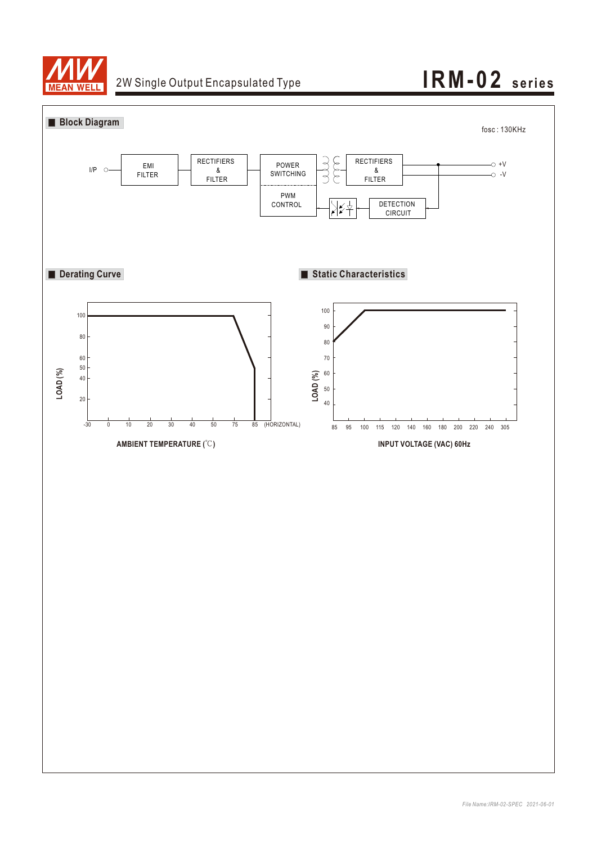

## 2W Single Output Encapsulated Type **IRM-02** series